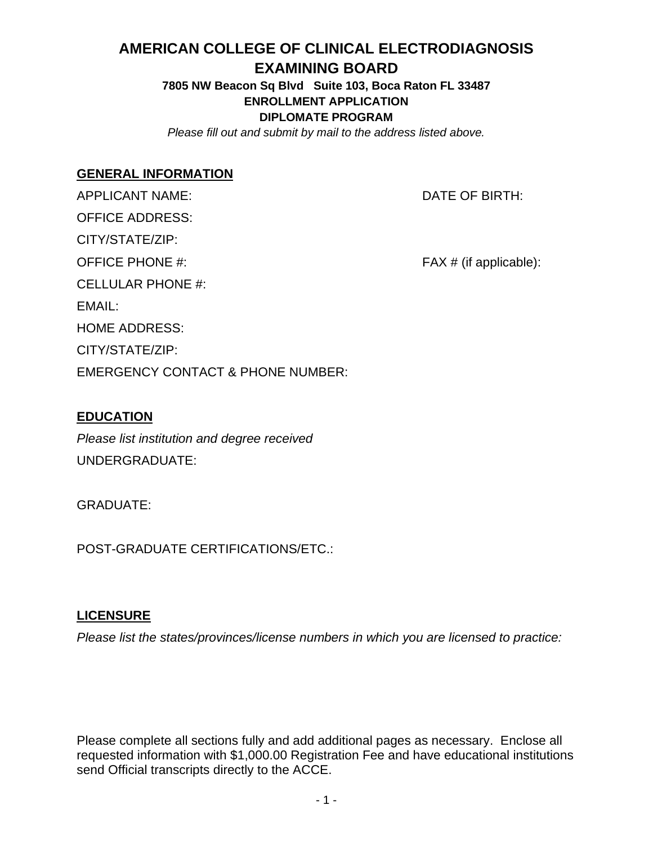# **AMERICAN COLLEGE OF CLINICAL ELECTRODIAGNOSIS**

#### **EXAMINING BOARD**

**7805 NW Beacon Sq Blvd Suite 103, Boca Raton FL 33487 ENROLLMENT APPLICATION DIPLOMATE PROGRAM** 

*Please fill out and submit by mail to the address listed above.*

#### **GENERAL INFORMATION**

APPLICANT NAME:  $\overline{D}$  DATE OF BIRTH: OFFICE ADDRESS: CITY/STATE/ZIP: OFFICE PHONE #:  $FAX # (if applicable):$ CELLULAR PHONE #: EMAIL: HOME ADDRESS: CITY/STATE/ZIP: EMERGENCY CONTACT & PHONE NUMBER:

#### **EDUCATION**

*Please list institution and degree received*  UNDERGRADUATE:

GRADUATE:

POST-GRADUATE CERTIFICATIONS/ETC.:

#### **LICENSURE**

*Please list the states/provinces/license numbers in which you are licensed to practice:* 

Please complete all sections fully and add additional pages as necessary. Enclose all requested information with \$1,000.00 Registration Fee and have educational institutions send Official transcripts directly to the ACCE.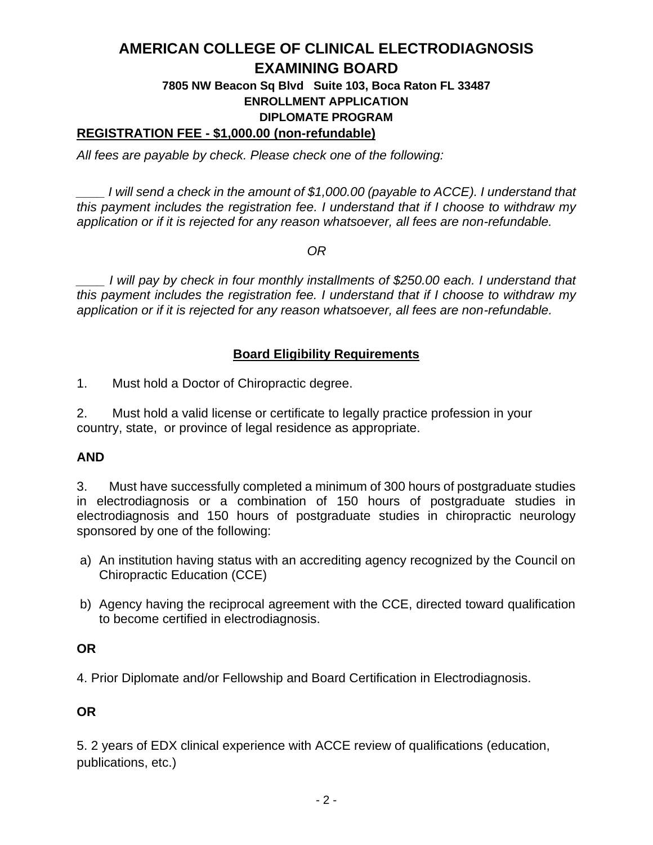# **AMERICAN COLLEGE OF CLINICAL ELECTRODIAGNOSIS EXAMINING BOARD**

#### **7805 NW Beacon Sq Blvd Suite 103, Boca Raton FL 33487 ENROLLMENT APPLICATION DIPLOMATE PROGRAM**

#### **REGISTRATION FEE - \$1,000.00 (non-refundable)**

*All fees are payable by check. Please check one of the following:* 

*\_\_\_\_ I will send a check in the amount of \$1,000.00 (payable to ACCE). I understand that this payment includes the registration fee. I understand that if I choose to withdraw my application or if it is rejected for any reason whatsoever, all fees are non-refundable.* 

*OR* 

*\_\_\_\_ I will pay by check in four monthly installments of \$250.00 each. I understand that this payment includes the registration fee. I understand that if I choose to withdraw my application or if it is rejected for any reason whatsoever, all fees are non-refundable.*

#### **Board Eligibility Requirements**

1. Must hold a Doctor of Chiropractic degree.

2. Must hold a valid license or certificate to legally practice profession in your country, state, or province of legal residence as appropriate.

#### **AND**

3. Must have successfully completed a minimum of 300 hours of postgraduate studies in electrodiagnosis or a combination of 150 hours of postgraduate studies in electrodiagnosis and 150 hours of postgraduate studies in chiropractic neurology sponsored by one of the following:

- a) An institution having status with an accrediting agency recognized by the Council on Chiropractic Education (CCE)
- b) Agency having the reciprocal agreement with the CCE, directed toward qualification to become certified in electrodiagnosis.

#### **OR**

4. Prior Diplomate and/or Fellowship and Board Certification in Electrodiagnosis.

#### **OR**

5. 2 years of EDX clinical experience with ACCE review of qualifications (education, publications, etc.)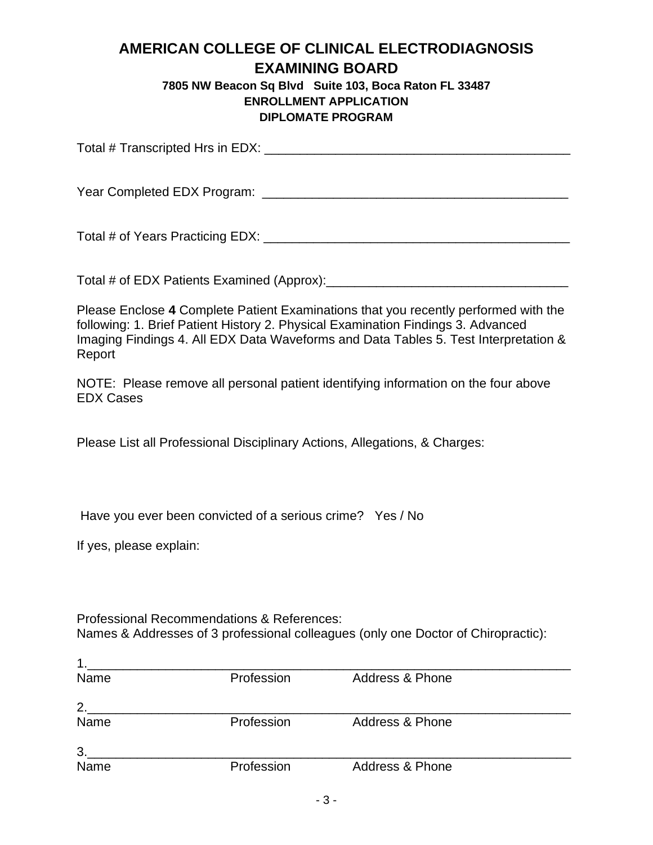## **AMERICAN COLLEGE OF CLINICAL ELECTRODIAGNOSIS EXAMINING BOARD**

#### **7805 NW Beacon Sq Blvd Suite 103, Boca Raton FL 33487 ENROLLMENT APPLICATION DIPLOMATE PROGRAM**

Total # Transcripted Hrs in EDX: \_\_\_\_\_\_\_\_\_\_\_\_\_\_\_\_\_\_\_\_\_\_\_\_\_\_\_\_\_\_\_\_\_\_\_\_\_\_\_\_\_\_\_

Year Completed EDX Program: \_\_\_\_\_\_\_\_\_\_\_\_\_\_\_\_\_\_\_\_\_\_\_\_\_\_\_\_\_\_\_\_\_\_\_\_\_\_\_\_\_\_\_

Total # of Years Practicing EDX: \_\_\_\_\_\_\_\_\_\_\_\_\_\_\_\_\_\_\_\_\_\_\_\_\_\_\_\_\_\_\_\_\_\_\_\_\_\_\_\_\_\_\_

Total # of EDX Patients Examined (Approx):\_\_\_\_\_\_\_\_\_\_\_\_\_\_\_\_\_\_\_\_\_\_\_\_\_\_\_\_\_\_\_\_\_\_

Please Enclose **4** Complete Patient Examinations that you recently performed with the following: 1. Brief Patient History 2. Physical Examination Findings 3. Advanced Imaging Findings 4. All EDX Data Waveforms and Data Tables 5. Test Interpretation & Report

NOTE: Please remove all personal patient identifying information on the four above EDX Cases

Please List all Professional Disciplinary Actions, Allegations, & Charges:

Have you ever been convicted of a serious crime? Yes / No

If yes, please explain:

Professional Recommendations & References: Names & Addresses of 3 professional colleagues (only one Doctor of Chiropractic):

| 1    |            |                            |  |
|------|------------|----------------------------|--|
| Name | Profession | Address & Phone            |  |
| 2.   |            |                            |  |
| Name | Profession | <b>Address &amp; Phone</b> |  |
| 3.   |            |                            |  |
| Name | Profession | Address & Phone            |  |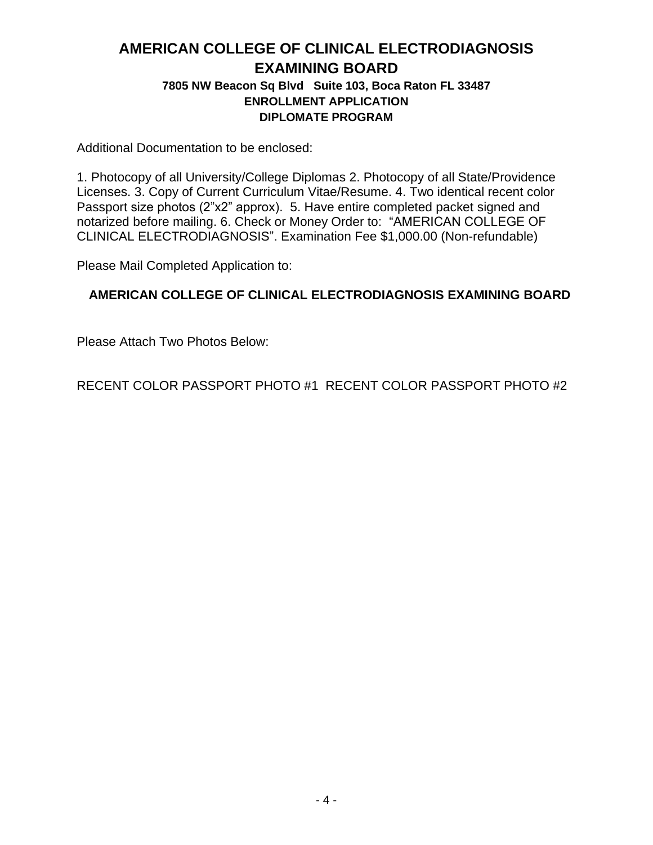### **AMERICAN COLLEGE OF CLINICAL ELECTRODIAGNOSIS EXAMINING BOARD 7805 NW Beacon Sq Blvd Suite 103, Boca Raton FL 33487 ENROLLMENT APPLICATION DIPLOMATE PROGRAM**

Additional Documentation to be enclosed:

1. Photocopy of all University/College Diplomas 2. Photocopy of all State/Providence Licenses. 3. Copy of Current Curriculum Vitae/Resume. 4. Two identical recent color Passport size photos (2"x2" approx). 5. Have entire completed packet signed and notarized before mailing. 6. Check or Money Order to: "AMERICAN COLLEGE OF CLINICAL ELECTRODIAGNOSIS". Examination Fee \$1,000.00 (Non-refundable)

Please Mail Completed Application to:

#### **AMERICAN COLLEGE OF CLINICAL ELECTRODIAGNOSIS EXAMINING BOARD**

Please Attach Two Photos Below:

RECENT COLOR PASSPORT PHOTO #1 RECENT COLOR PASSPORT PHOTO #2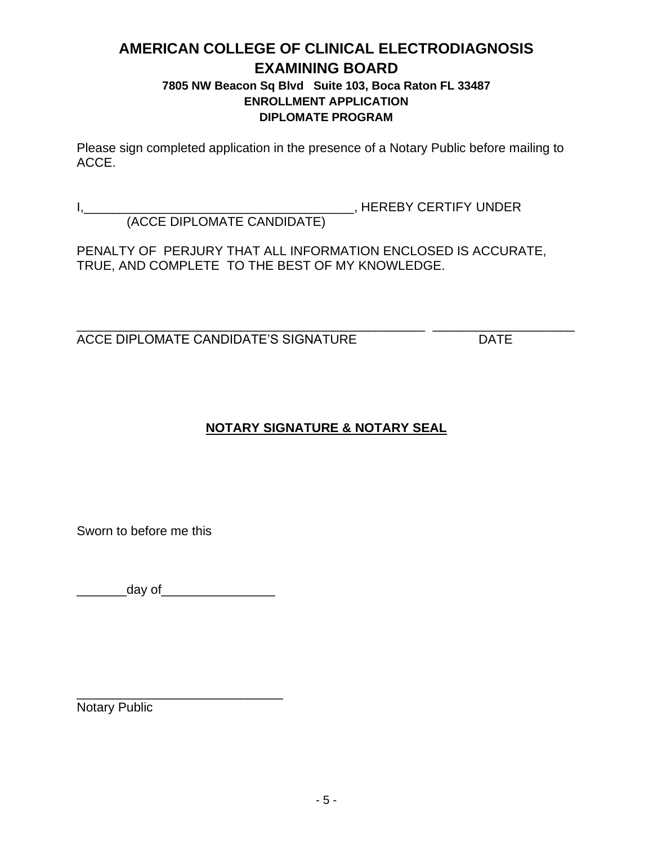### **AMERICAN COLLEGE OF CLINICAL ELECTRODIAGNOSIS EXAMINING BOARD 7805 NW Beacon Sq Blvd Suite 103, Boca Raton FL 33487**

# **ENROLLMENT APPLICATION DIPLOMATE PROGRAM**

Please sign completed application in the presence of a Notary Public before mailing to ACCE.

I,\_\_\_\_\_\_\_\_\_\_\_\_\_\_\_\_\_\_\_\_\_\_\_\_\_\_\_\_\_\_\_\_\_\_\_\_\_\_, HEREBY CERTIFY UNDER (ACCE DIPLOMATE CANDIDATE)

PENALTY OF PERJURY THAT ALL INFORMATION ENCLOSED IS ACCURATE, TRUE, AND COMPLETE TO THE BEST OF MY KNOWLEDGE.

\_\_\_\_\_\_\_\_\_\_\_\_\_\_\_\_\_\_\_\_\_\_\_\_\_\_\_\_\_\_\_\_\_\_\_\_\_\_\_\_\_\_\_\_\_\_\_\_\_ \_\_\_\_\_\_\_\_\_\_\_\_\_\_\_\_\_\_\_\_ ACCE DIPLOMATE CANDIDATE'S SIGNATURE DATE

# **NOTARY SIGNATURE & NOTARY SEAL**

Sworn to before me this

 $\frac{1}{2}$  day of

\_\_\_\_\_\_\_\_\_\_\_\_\_\_\_\_\_\_\_\_\_\_\_\_\_\_\_\_\_

Notary Public